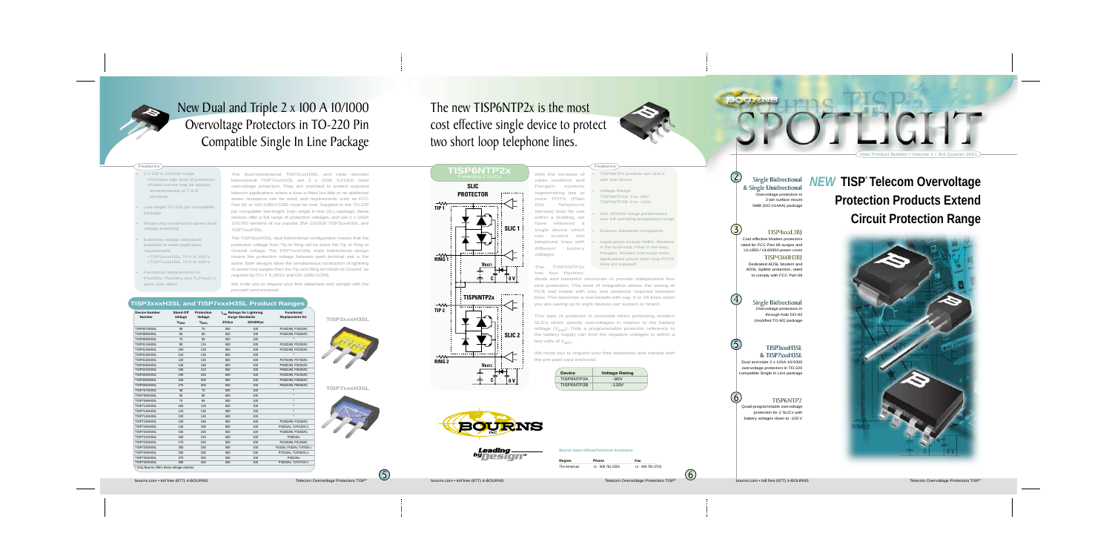Single Bidirectional Single Bidirectional & Single Unidirectional & Single Unidirectional 2

**BOUTRIVE** 

3



5

6

Overvoltage protectors in 2-pin surface mount SMB (DO-214AA) package

Single Bidirectional Overvoltage protectors in through-hole DO-92 (modified TO-92) package



### TISP3xxxH3SL & TISP7xxxH3SL

Dual and triple 2 x 100A 10/1000 overvoltage protectors in TO-220 compatible Single In Line package

## TISP4xxxL3BJ TISP4xxxL3BJ

### TISP6NTP2

Quad-programmable overvoltage protection for 2 SLICs with battery voltages down to -105 V

TISP4360H3BJ TISP4360H3BJ Dedicated ADSL Modem and ADSL Splitter protection, rated to comply with FCC Part 68

New Product Bulletin • Volume 1 • 3rd Quarter 2001



**Features**

Cost effective Modem protectors rated for FCC Part 68 surges and UL1950 / UL60950 power cross

With the increase of cable modems and Pairgain systems regenerating two or more POTS (Plain Old Telephone Service) lines for use within a building, we have released a single device which can protect two

# **NEW TISP® Telecom Overvoltage Protection Products Extend Circuit Protection Range**

SPOTLIGHT

This type of protector is essential when protecting modern SLICs which specify overvoltages in relation to the battery voltage  $(V_{BAT})$ . Only a programmable protector reference to the battery supply can limit the negative voltages to within a few volts of  $V<sub>BAT</sub>$ .

## The new TISP6NTP2x is the most cost effective single device to protect two short loop telephone lines.

• TISP6NTP2 protects two SLICs

with one device

•

Voltage Range:

TISP6NTP2A: 0 to -90V TISP6NTP2B: 0 to -120V

•

 20A 10/1000 Surge performance over full operating temperature range

•

Ensures standards compliance

•

 Applications include PABX, Wireless in the local loop, Fiber in the loop, Pairgain, Routers and many more applications where short loop POTS

lines are exposed

- telephone lines with different battery
- The TISP6NTP2x has four thyristor,
- diode and transistor structures to provide independent four wire protection. This level of integration allows the saving of PCB real estate with only one protector required between lines. This becomes a real benefit with say, 8 or 16 lines when you are saving up to eight devices per system or board.

We invite you to request your free datasheet and sample with the pre-paid card enclosed.

| <b>Device</b> | <b>Voltage Rating</b> |  |
|---------------|-----------------------|--|
| TISP6NTP2A    | $-90V$                |  |
| TISP6NTP2B    | $-120V$               |  |

### **Features**



# New Dual and Triple 2 x 100 A 10/1000 Overvoltage Protectors in TO-220 Pin Compatible Single In Line Package

•

- 2 x 100 A 10/1000 surge •Provides high level of protection •Rated current may be applied simultaneously to T & R terminals
- • Low-height TO-220 pin compatible package
- •Single chip construction gives close voltage matching
- • Extensive voltage selections available to meet application requirements
- •TISP3xxxH3SL 70 V to 350 V
- •TISP7xxxH3SL 70 V to 400 V
- • Functional replacements for Pxx02Ax, Pxx03Ax and TLPxxxG-1 parts (see table)

The dual-bidirectional TISP3xxxH3SL and triple element bidirectional TISP7xxxH3SL are 2 x 100A 10/1000 rated overvoltage protectors. They are intended to protect exposed telecom applications where a fuse is fitted but little or no additional series resistance can be used, and requirements such as FCC Part 68 or GR-1089-CORE must be met. Supplied in the TO-220 pin compatible low-height 3-pin single in line (SL) package, these devices offer a full range of protection voltages, and are 2 x 100A 10/1000 versions of our popular 35A 10/1000 TISP3xxxF3SL and TISP7xxxF3SL.







The TISP3xxxH3SL dual bidirectional configuration means that the protection voltage from Tip to Ring will be twice the Tip or Ring to Ground voltage. The TISP7xxxH3SL triple bidirectional design means the protection voltage between each terminal pair is the same. Both designs allow the simultaneous conduction of lightning or power line surges from the Tip and Ring terminals to Ground, as required by ITU-T K.20/21 and GR-1089-CORE.

We invite you to request your free datasheet and sample with the pre-paid card enclosed.

**Bourns Sales Offices/Technical Assistance**

| Region       | <b>Phone</b>      | Fax               |
|--------------|-------------------|-------------------|
| The Americas | +1 - 909 781-5500 | +1 - 909 781-5700 |

### **TISP3xxxH3SL and TISP7xxxH3SL Product Ranges**

**TISP3xxxH3SL**

**TISP7xxxH3SL**

| <b>Device Number</b><br><b>Number</b> | Stand-Off<br>Voltage<br><b>V<sub>DRM</sub></b> | <b>Protection</b><br>Voltage<br>$V_{(BO)}$ | $2/10µ$ s | I <sub>TSP</sub> Ratings for Lightning<br><b>Surge Standards</b><br>10/1000us | <b>Functional</b><br><b>Replacement for</b> |
|---------------------------------------|------------------------------------------------|--------------------------------------------|-----------|-------------------------------------------------------------------------------|---------------------------------------------|
| <b>TISP3070H3SL</b>                   | 58                                             | 70                                         | 500       | 100                                                                           | P1402AB, P1402AC                            |
| <b>TISP3080H3SL</b>                   | 65                                             | 80                                         | 500       | 100                                                                           | P1602AB, P1602AC                            |
| <b>TISP3095H3SL</b>                   | 75                                             | 95                                         | 500       | 100                                                                           | $\star$                                     |
| <b>TISP3115H3SL</b>                   | 90                                             | 115                                        | 500       | 100                                                                           | P2202AB, P2202AC                            |
| <b>TISP3125H3SL</b>                   | 100                                            | 125                                        | 500       | 100                                                                           | P2202AB, P2202AC                            |
| <b>TISP3135H3SL</b>                   | 110                                            | 135                                        | 500       | 100                                                                           | $\star$                                     |
| <b>TISP3145H3SL</b>                   | 120                                            | 145                                        | 500       | 100                                                                           | P2702AB, P2702AC                            |
| <b>TISP3180H3SL</b>                   | 145                                            | 180                                        | 500       | 100                                                                           | P3002AB, P3002AC                            |
| <b>TISP3210H3SL</b>                   | 160                                            | 210                                        | 500       | 100                                                                           | P3602AB, P3602AC                            |
| <b>TISP3250H3SL</b>                   | 190                                            | 250                                        | 500       | 100                                                                           | P4202AB, P4202AC                            |
| <b>TISP3290H3SL</b>                   | 220                                            | 290                                        | 500       | 100                                                                           | P4802AB, P4802AC                            |
| <b>TISP3350H3SL</b>                   | 275                                            | 350                                        | 500       | 100                                                                           | P6002AB, P6002AC                            |
| <b>TISP7070H3SL</b>                   | 58                                             | 70                                         | 500       | 100                                                                           |                                             |
| <b>TISP7080H3SL</b>                   | 65                                             | 80                                         | 500       | 100                                                                           | $\star$                                     |
| <b>TISP7095H3SL</b>                   | 75                                             | 95                                         | 500       | 100                                                                           | $\star$                                     |
| <b>TISP7125H3SL</b>                   | 100                                            | 125                                        | 500       | 100                                                                           | $\star$                                     |
| <b>TISP7135H3SL</b>                   | 110                                            | 135                                        | 500       | 100                                                                           | $^\star$                                    |
| <b>TISP7145H3SL</b>                   | 120                                            | 145                                        | 500       | 100                                                                           | $\star$                                     |
| <b>TISP7165H3SL</b>                   | 130                                            | 165                                        | 500       | 100                                                                           | P1553AB, P1553AC                            |
| <b>TISP7180H3SL</b>                   | 145                                            | 180                                        | 500       | 100                                                                           | P1553Ax, TLP140G-1                          |
| <b>TISP7200H3SL</b>                   | 150                                            | 200                                        | 500       | 100                                                                           | P1803AB, P1803AC                            |
| <b>TISP7210H3SL</b>                   | 160                                            | 210                                        | 500       | 100                                                                           | P1803Ax                                     |
| <b>TISP7220H3SL</b>                   | 170                                            | 220                                        | 500       | 100                                                                           | P2103AB, P2103AC                            |
| <b>TISP7250H3SL</b>                   | 200                                            | 250                                        | 500       | 100                                                                           | P2103Ax, P2353Ax, TLP200G-1                 |
| <b>TISP7290H3SL</b>                   | 230                                            | 290                                        | 500       | 100                                                                           | P2703Ax, TLP200G-1                          |
| <b>TISP7350H3SL</b>                   | 275                                            | 350                                        | 500       | 100                                                                           | P3203Ax                                     |
| <b>TISP7400H3SL</b>                   | 300                                            | 400                                        | 500       | 100                                                                           | P3403Ax, TLP270G-1                          |

\* Only Bourns offers these voltage variants.